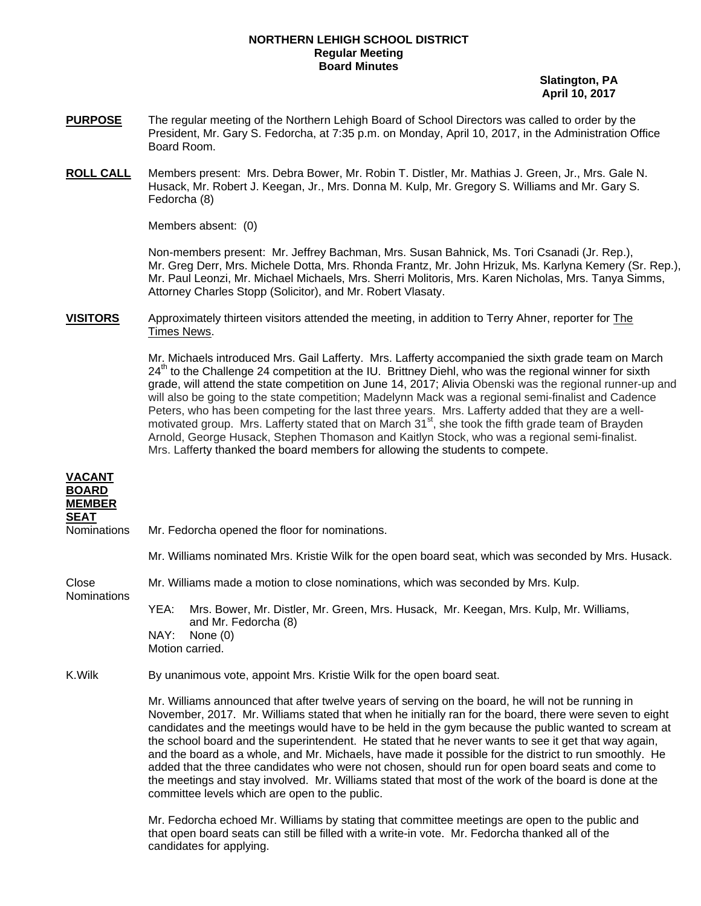## **NORTHERN LEHIGH SCHOOL DISTRICT Regular Meeting Board Minutes**

 **Slatington, PA April 10, 2017** 

- **PURPOSE** The regular meeting of the Northern Lehigh Board of School Directors was called to order by the President, Mr. Gary S. Fedorcha, at 7:35 p.m. on Monday, April 10, 2017, in the Administration Office Board Room.
- **ROLL CALL** Members present: Mrs. Debra Bower, Mr. Robin T. Distler, Mr. Mathias J. Green, Jr., Mrs. Gale N. Husack, Mr. Robert J. Keegan, Jr., Mrs. Donna M. Kulp, Mr. Gregory S. Williams and Mr. Gary S. Fedorcha (8)

Members absent: (0)

Non-members present: Mr. Jeffrey Bachman, Mrs. Susan Bahnick, Ms. Tori Csanadi (Jr. Rep.), Mr. Greg Derr, Mrs. Michele Dotta, Mrs. Rhonda Frantz, Mr. John Hrizuk, Ms. Karlyna Kemery (Sr. Rep.), Mr. Paul Leonzi, Mr. Michael Michaels, Mrs. Sherri Molitoris, Mrs. Karen Nicholas, Mrs. Tanya Simms, Attorney Charles Stopp (Solicitor), and Mr. Robert Vlasaty.

**VISITORS** Approximately thirteen visitors attended the meeting, in addition to Terry Ahner, reporter for The Times News.

> Mr. Michaels introduced Mrs. Gail Lafferty. Mrs. Lafferty accompanied the sixth grade team on March  $24<sup>th</sup>$  to the Challenge 24 competition at the IU. Brittney Diehl, who was the regional winner for sixth grade, will attend the state competition on June 14, 2017; Alivia Obenski was the regional runner-up and will also be going to the state competition; Madelynn Mack was a regional semi-finalist and Cadence Peters, who has been competing for the last three years. Mrs. Lafferty added that they are a wellmotivated group. Mrs. Lafferty stated that on March 31<sup>st</sup>, she took the fifth grade team of Brayden Arnold, George Husack, Stephen Thomason and Kaitlyn Stock, who was a regional semi-finalist. Mrs. Lafferty thanked the board members for allowing the students to compete.

| <b>VACANT</b><br><b>BOARD</b><br><b>MEMBER</b> |                                                                                                                                                                                                                                                                                                                                                                                                                                                                                                                                                                                                                                                                                                                                                                                                      |  |
|------------------------------------------------|------------------------------------------------------------------------------------------------------------------------------------------------------------------------------------------------------------------------------------------------------------------------------------------------------------------------------------------------------------------------------------------------------------------------------------------------------------------------------------------------------------------------------------------------------------------------------------------------------------------------------------------------------------------------------------------------------------------------------------------------------------------------------------------------------|--|
| <b>SEAT</b><br><b>Nominations</b>              | Mr. Fedorcha opened the floor for nominations.                                                                                                                                                                                                                                                                                                                                                                                                                                                                                                                                                                                                                                                                                                                                                       |  |
|                                                | Mr. Williams nominated Mrs. Kristie Wilk for the open board seat, which was seconded by Mrs. Husack.                                                                                                                                                                                                                                                                                                                                                                                                                                                                                                                                                                                                                                                                                                 |  |
| Close<br><b>Nominations</b>                    | Mr. Williams made a motion to close nominations, which was seconded by Mrs. Kulp.                                                                                                                                                                                                                                                                                                                                                                                                                                                                                                                                                                                                                                                                                                                    |  |
|                                                | Mrs. Bower, Mr. Distler, Mr. Green, Mrs. Husack, Mr. Keegan, Mrs. Kulp, Mr. Williams,<br>YEA:                                                                                                                                                                                                                                                                                                                                                                                                                                                                                                                                                                                                                                                                                                        |  |
|                                                | and Mr. Fedorcha (8)<br>NAY:<br>None $(0)$<br>Motion carried.                                                                                                                                                                                                                                                                                                                                                                                                                                                                                                                                                                                                                                                                                                                                        |  |
| K.Wilk                                         | By unanimous vote, appoint Mrs. Kristie Wilk for the open board seat.                                                                                                                                                                                                                                                                                                                                                                                                                                                                                                                                                                                                                                                                                                                                |  |
|                                                | Mr. Williams announced that after twelve years of serving on the board, he will not be running in<br>November, 2017. Mr. Williams stated that when he initially ran for the board, there were seven to eight<br>candidates and the meetings would have to be held in the gym because the public wanted to scream at<br>the school board and the superintendent. He stated that he never wants to see it get that way again,<br>and the board as a whole, and Mr. Michaels, have made it possible for the district to run smoothly. He<br>added that the three candidates who were not chosen, should run for open board seats and come to<br>the meetings and stay involved. Mr. Williams stated that most of the work of the board is done at the<br>committee levels which are open to the public. |  |
|                                                | Mr. Fedorcha echoed Mr. Williams by stating that committee meetings are open to the public and                                                                                                                                                                                                                                                                                                                                                                                                                                                                                                                                                                                                                                                                                                       |  |

 that open board seats can still be filled with a write-in vote. Mr. Fedorcha thanked all of the candidates for applying.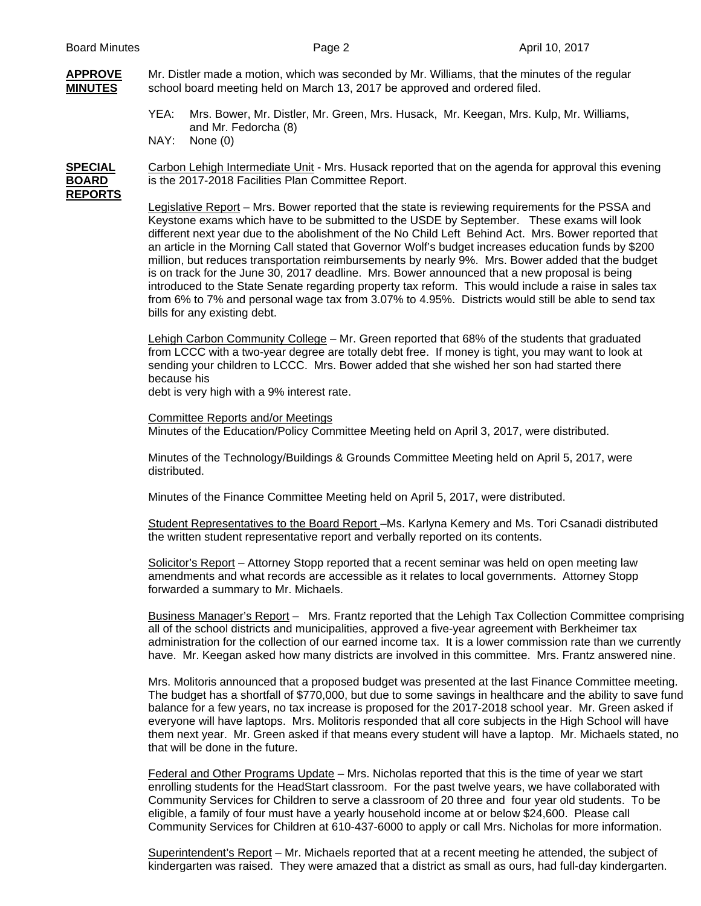# **APPROVE** Mr. Distler made a motion, which was seconded by Mr. Williams, that the minutes of the regular **MINUTES** school board meeting held on March 13, 2017 be approved and ordered filed.

- YEA: Mrs. Bower, Mr. Distler, Mr. Green, Mrs. Husack, Mr. Keegan, Mrs. Kulp, Mr. Williams, and Mr. Fedorcha (8)
- NAY: None (0)

## **SPECIAL** Carbon Lehigh Intermediate Unit - Mrs. Husack reported that on the agenda for approval this evening **BOARD** is the 2017-2018 Facilities Plan Committee Report. **REPORTS**

Legislative Report – Mrs. Bower reported that the state is reviewing requirements for the PSSA and Keystone exams which have to be submitted to the USDE by September. These exams will look different next year due to the abolishment of the No Child Left Behind Act. Mrs. Bower reported that an article in the Morning Call stated that Governor Wolf's budget increases education funds by \$200 million, but reduces transportation reimbursements by nearly 9%. Mrs. Bower added that the budget is on track for the June 30, 2017 deadline. Mrs. Bower announced that a new proposal is being introduced to the State Senate regarding property tax reform. This would include a raise in sales tax from 6% to 7% and personal wage tax from 3.07% to 4.95%. Districts would still be able to send tax bills for any existing debt.

 Lehigh Carbon Community College – Mr. Green reported that 68% of the students that graduated from LCCC with a two-year degree are totally debt free. If money is tight, you may want to look at sending your children to LCCC. Mrs. Bower added that she wished her son had started there because his

debt is very high with a 9% interest rate.

 Committee Reports and/or Meetings Minutes of the Education/Policy Committee Meeting held on April 3, 2017, were distributed.

 Minutes of the Technology/Buildings & Grounds Committee Meeting held on April 5, 2017, were distributed.

Minutes of the Finance Committee Meeting held on April 5, 2017, were distributed.

 Student Representatives to the Board Report –Ms. Karlyna Kemery and Ms. Tori Csanadi distributed the written student representative report and verbally reported on its contents.

 Solicitor's Report – Attorney Stopp reported that a recent seminar was held on open meeting law amendments and what records are accessible as it relates to local governments. Attorney Stopp forwarded a summary to Mr. Michaels.

Business Manager's Report – Mrs. Frantz reported that the Lehigh Tax Collection Committee comprising all of the school districts and municipalities, approved a five-year agreement with Berkheimer tax administration for the collection of our earned income tax. It is a lower commission rate than we currently have. Mr. Keegan asked how many districts are involved in this committee. Mrs. Frantz answered nine.

Mrs. Molitoris announced that a proposed budget was presented at the last Finance Committee meeting. The budget has a shortfall of \$770,000, but due to some savings in healthcare and the ability to save fund balance for a few years, no tax increase is proposed for the 2017-2018 school year. Mr. Green asked if everyone will have laptops. Mrs. Molitoris responded that all core subjects in the High School will have them next year. Mr. Green asked if that means every student will have a laptop. Mr. Michaels stated, no that will be done in the future.

Federal and Other Programs Update – Mrs. Nicholas reported that this is the time of year we start enrolling students for the HeadStart classroom. For the past twelve years, we have collaborated with Community Services for Children to serve a classroom of 20 three and four year old students. To be eligible, a family of four must have a yearly household income at or below \$24,600. Please call Community Services for Children at 610-437-6000 to apply or call Mrs. Nicholas for more information.

Superintendent's Report – Mr. Michaels reported that at a recent meeting he attended, the subject of kindergarten was raised. They were amazed that a district as small as ours, had full-day kindergarten.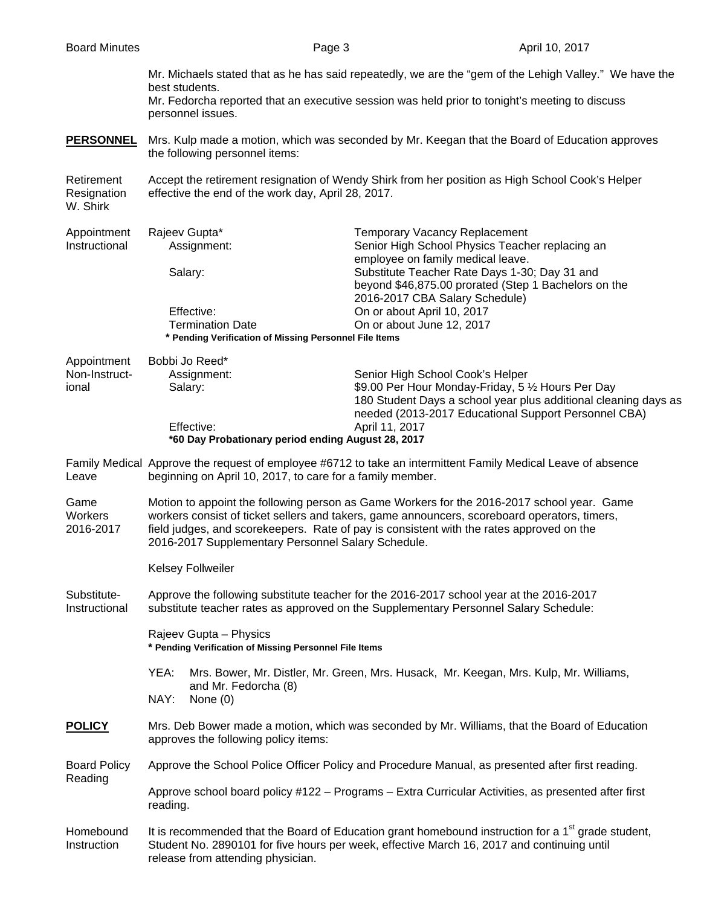Mr. Michaels stated that as he has said repeatedly, we are the "gem of the Lehigh Valley." We have the best students. Mr. Fedorcha reported that an executive session was held prior to tonight's meeting to discuss personnel issues. **PERSONNEL** Mrs. Kulp made a motion, which was seconded by Mr. Keegan that the Board of Education approves the following personnel items: Retirement Accept the retirement resignation of Wendy Shirk from her position as High School Cook's Helper Resignation effective the end of the work day, April 28, 2017. W. Shirk Appointment Rajeev Gupta\* Temporary Vacancy Replacement Instructional Assignment: Senior High School Physics Teacher replacing an employee on family medical leave. Salary: Substitute Teacher Rate Days 1-30; Day 31 and beyond \$46,875.00 prorated (Step 1 Bachelors on the 2016-2017 CBA Salary Schedule) Effective: On or about April 10, 2017 Termination Date On or about June 12, 2017  **\* Pending Verification of Missing Personnel File Items**  Appointment Bobbi Jo Reed\* Non-Instruct- Assignment: Senior High School Cook's Helper ional Salary: \$9.00 Per Hour Monday-Friday, 5  $\frac{1}{2}$  Hours Per Day 180 Student Days a school year plus additional cleaning days as needed (2013-2017 Educational Support Personnel CBA) Effective: April 11, 2017  **\*60 Day Probationary period ending August 28, 2017** Family Medical Approve the request of employee #6712 to take an intermittent Family Medical Leave of absence Leave beginning on April 10, 2017, to care for a family member. Game Motion to appoint the following person as Game Workers for the 2016-2017 school year. Game Workers workers consist of ticket sellers and takers, game announcers, scoreboard operators, timers, 2016-2017 field judges, and scorekeepers. Rate of pay is consistent with the rates approved on the 2016-2017 Supplementary Personnel Salary Schedule. Kelsey Follweiler Substitute- Approve the following substitute teacher for the 2016-2017 school year at the 2016-2017 Instructional substitute teacher rates as approved on the Supplementary Personnel Salary Schedule: Rajeev Gupta – Physics  **\* Pending Verification of Missing Personnel File Items**  YEA: Mrs. Bower, Mr. Distler, Mr. Green, Mrs. Husack, Mr. Keegan, Mrs. Kulp, Mr. Williams, and Mr. Fedorcha (8) NAY: None (0) **POLICY** Mrs. Deb Bower made a motion, which was seconded by Mr. Williams, that the Board of Education approves the following policy items: Board Policy Approve the School Police Officer Policy and Procedure Manual, as presented after first reading. Reading Approve school board policy #122 – Programs – Extra Curricular Activities, as presented after first reading. Homebound It is recommended that the Board of Education grant homebound instruction for a 1<sup>st</sup> grade student, Instruction Student No. 2890101 for five hours per week, effective March 16, 2017 and continuing until release from attending physician.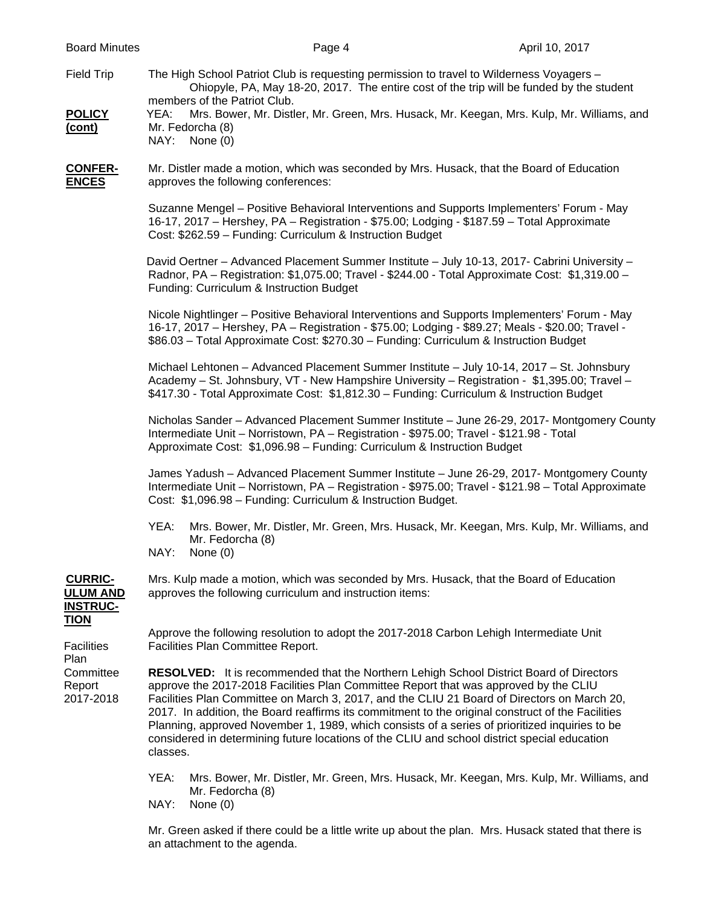Field Trip The High School Patriot Club is requesting permission to travel to Wilderness Voyagers - Ohiopyle, PA, May 18-20, 2017. The entire cost of the trip will be funded by the student members of the Patriot Club. **POLICY** YEA: Mrs. Bower, Mr. Distler, Mr. Green, Mrs. Husack, Mr. Keegan, Mrs. Kulp, Mr. Williams, and

### **(cont)** Mr. Fedorcha (8) NAY: None (0)

**CONFER-** Mr. Distler made a motion, which was seconded by Mrs. Husack, that the Board of Education **ENCES** approves the following conferences:

> Suzanne Mengel – Positive Behavioral Interventions and Supports Implementers' Forum - May 16-17, 2017 – Hershey, PA – Registration - \$75.00; Lodging - \$187.59 – Total Approximate Cost: \$262.59 – Funding: Curriculum & Instruction Budget

> David Oertner – Advanced Placement Summer Institute – July 10-13, 2017- Cabrini University – Radnor, PA – Registration: \$1,075.00; Travel - \$244.00 - Total Approximate Cost: \$1,319.00 – Funding: Curriculum & Instruction Budget

> Nicole Nightlinger – Positive Behavioral Interventions and Supports Implementers' Forum - May 16-17, 2017 – Hershey, PA – Registration - \$75.00; Lodging - \$89.27; Meals - \$20.00; Travel - \$86.03 – Total Approximate Cost: \$270.30 – Funding: Curriculum & Instruction Budget

> Michael Lehtonen – Advanced Placement Summer Institute – July 10-14, 2017 – St. Johnsbury Academy – St. Johnsbury, VT - New Hampshire University – Registration - \$1,395.00; Travel – \$417.30 - Total Approximate Cost: \$1,812.30 – Funding: Curriculum & Instruction Budget

Nicholas Sander – Advanced Placement Summer Institute – June 26-29, 2017- Montgomery County Intermediate Unit – Norristown, PA – Registration - \$975.00; Travel - \$121.98 - Total Approximate Cost: \$1,096.98 – Funding: Curriculum & Instruction Budget

James Yadush – Advanced Placement Summer Institute – June 26-29, 2017- Montgomery County Intermediate Unit – Norristown, PA – Registration - \$975.00; Travel - \$121.98 – Total Approximate Cost: \$1,096.98 – Funding: Curriculum & Instruction Budget.

- YEA: Mrs. Bower, Mr. Distler, Mr. Green, Mrs. Husack, Mr. Keegan, Mrs. Kulp, Mr. Williams, and Mr. Fedorcha (8)
- NAY: None (0)

 **TION**

Plan

**CURRIC-** Mrs. Kulp made a motion, which was seconded by Mrs. Husack, that the Board of Education **ULUM AND** approves the following curriculum and instruction items:  **INSTRUC-**

 Approve the following resolution to adopt the 2017-2018 Carbon Lehigh Intermediate Unit Facilities Facilities Plan Committee Report.

 Committee **RESOLVED:** It is recommended that the Northern Lehigh School District Board of Directors Report approve the 2017-2018 Facilities Plan Committee Report that was approved by the CLIU 2017-2018 Facilities Plan Committee on March 3, 2017, and the CLIU 21 Board of Directors on March 20, 2017. In addition, the Board reaffirms its commitment to the original construct of the Facilities Planning, approved November 1, 1989, which consists of a series of prioritized inquiries to be considered in determining future locations of the CLIU and school district special education classes.

- YEA: Mrs. Bower, Mr. Distler, Mr. Green, Mrs. Husack, Mr. Keegan, Mrs. Kulp, Mr. Williams, and Mr. Fedorcha (8)
- NAY: None (0)

Mr. Green asked if there could be a little write up about the plan. Mrs. Husack stated that there is an attachment to the agenda.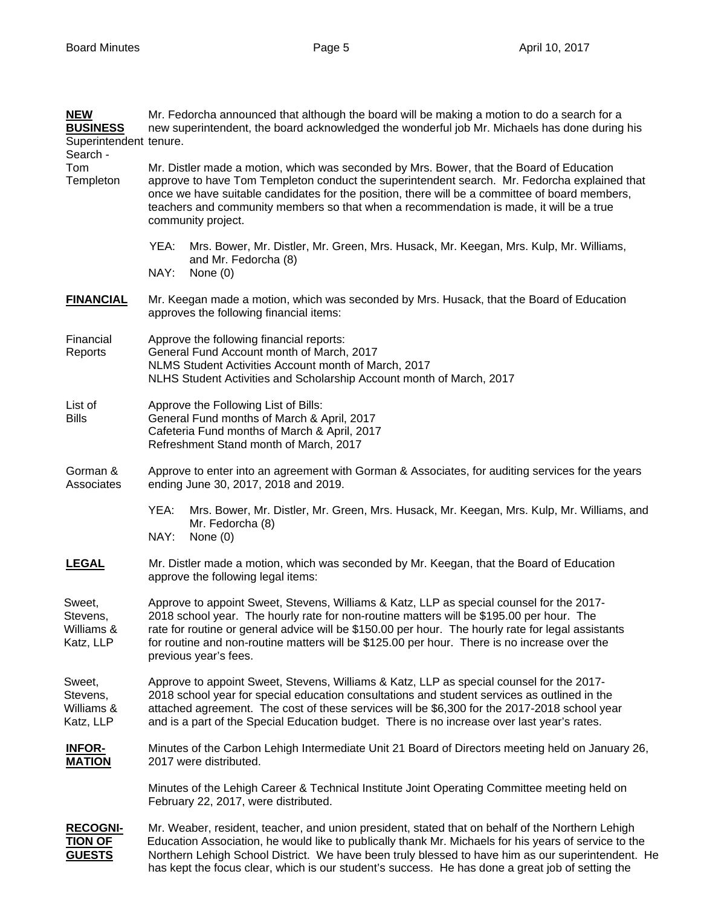| <b>NEW</b><br><b>BUSINESS</b><br>Superintendent tenure. | Mr. Fedorcha announced that although the board will be making a motion to do a search for a<br>new superintendent, the board acknowledged the wonderful job Mr. Michaels has done during his                                                                                                                                                                                                                        |
|---------------------------------------------------------|---------------------------------------------------------------------------------------------------------------------------------------------------------------------------------------------------------------------------------------------------------------------------------------------------------------------------------------------------------------------------------------------------------------------|
| Search -<br>Tom<br>Templeton                            | Mr. Distler made a motion, which was seconded by Mrs. Bower, that the Board of Education<br>approve to have Tom Templeton conduct the superintendent search. Mr. Fedorcha explained that<br>once we have suitable candidates for the position, there will be a committee of board members,                                                                                                                          |
|                                                         | teachers and community members so that when a recommendation is made, it will be a true<br>community project.                                                                                                                                                                                                                                                                                                       |
|                                                         | Mrs. Bower, Mr. Distler, Mr. Green, Mrs. Husack, Mr. Keegan, Mrs. Kulp, Mr. Williams,<br>YEA:<br>and Mr. Fedorcha (8)<br>NAY:<br>None $(0)$                                                                                                                                                                                                                                                                         |
| <b>FINANCIAL</b>                                        | Mr. Keegan made a motion, which was seconded by Mrs. Husack, that the Board of Education<br>approves the following financial items:                                                                                                                                                                                                                                                                                 |
| Financial<br>Reports                                    | Approve the following financial reports:<br>General Fund Account month of March, 2017<br>NLMS Student Activities Account month of March, 2017<br>NLHS Student Activities and Scholarship Account month of March, 2017                                                                                                                                                                                               |
| List of<br><b>Bills</b>                                 | Approve the Following List of Bills:<br>General Fund months of March & April, 2017<br>Cafeteria Fund months of March & April, 2017<br>Refreshment Stand month of March, 2017                                                                                                                                                                                                                                        |
| Gorman &<br>Associates                                  | Approve to enter into an agreement with Gorman & Associates, for auditing services for the years<br>ending June 30, 2017, 2018 and 2019.                                                                                                                                                                                                                                                                            |
|                                                         | YEA:<br>Mrs. Bower, Mr. Distler, Mr. Green, Mrs. Husack, Mr. Keegan, Mrs. Kulp, Mr. Williams, and<br>Mr. Fedorcha (8)<br>NAY:<br>None $(0)$                                                                                                                                                                                                                                                                         |
| <b>LEGAL</b>                                            | Mr. Distler made a motion, which was seconded by Mr. Keegan, that the Board of Education<br>approve the following legal items:                                                                                                                                                                                                                                                                                      |
| Sweet,<br>Stevens,<br>Williams &<br>Katz, LLP           | Approve to appoint Sweet, Stevens, Williams & Katz, LLP as special counsel for the 2017-<br>2018 school year. The hourly rate for non-routine matters will be \$195.00 per hour. The<br>rate for routine or general advice will be \$150.00 per hour. The hourly rate for legal assistants<br>for routine and non-routine matters will be \$125.00 per hour. There is no increase over the<br>previous year's fees. |
| Sweet,<br>Stevens,<br>Williams &<br>Katz, LLP           | Approve to appoint Sweet, Stevens, Williams & Katz, LLP as special counsel for the 2017-<br>2018 school year for special education consultations and student services as outlined in the<br>attached agreement. The cost of these services will be \$6,300 for the 2017-2018 school year<br>and is a part of the Special Education budget. There is no increase over last year's rates.                             |
| <b>INFOR-</b><br><b>MATION</b>                          | Minutes of the Carbon Lehigh Intermediate Unit 21 Board of Directors meeting held on January 26,<br>2017 were distributed.                                                                                                                                                                                                                                                                                          |
|                                                         | Minutes of the Lehigh Career & Technical Institute Joint Operating Committee meeting held on<br>February 22, 2017, were distributed.                                                                                                                                                                                                                                                                                |
| <b>RECOGNI-</b><br><b>TION OF</b><br><b>GUESTS</b>      | Mr. Weaber, resident, teacher, and union president, stated that on behalf of the Northern Lehigh<br>Education Association, he would like to publically thank Mr. Michaels for his years of service to the<br>Northern Lehigh School District. We have been truly blessed to have him as our superintendent. He<br>has kept the focus clear, which is our student's success. He has done a great job of setting the  |